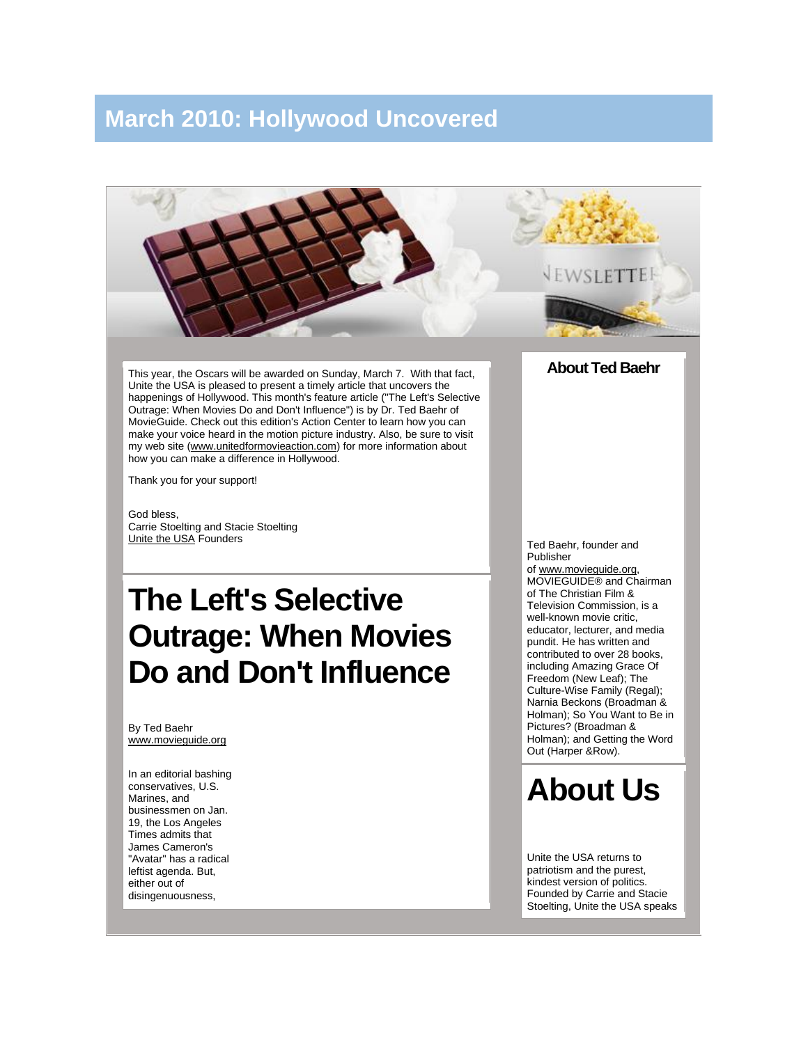## **March 2010: Hollywood Uncovered**



This year, the Oscars will be awarded on Sunday, March 7. With that fact, Unite the USA is pleased to present a timely article that uncovers the happenings of Hollywood. This month's feature article ("The Left's Selective Outrage: When Movies Do and Don't Influence") is by Dr. Ted Baehr of MovieGuide. Check out this edition's Action Center to learn how you can make your voice heard in the motion picture industry. Also, be sure to visit my web site [\(www.unitedformovieaction.com\)](http://www.unitedformovieaction.com/) for more information about how you can make a difference in Hollywood.

Thank you for your support!

God bless, Carrie Stoelting and Stacie Stoelting [Unite the USA](http://www.unitetheusa.org/) Founders

## **The Left's Selective Outrage: When Movies Do and Don't Influence**

By Ted Baehr www.movieguide.org

In an editorial bashing conservatives, U.S. Marines, and businessmen on Jan. 19, the Los Angeles Times admits that James Cameron's "Avatar" has a radical leftist agenda. But, either out of disingenuousness,

Ted Baehr, founder and Publisher of [www.movieguide.org,](http://www.movieguide.org/)  MOVIEGUIDE® and Chairman of The Christian Film & Television Commission, is a well-known movie critic, educator, lecturer, and media pundit. He has written and contributed to over 28 books, including Amazing Grace Of Freedom (New Leaf); The Culture-Wise Family (Regal); Narnia Beckons (Broadman & Holman); So You Want to Be in Pictures? (Broadman & Holman); and Getting the Word Out (Harper &Row).

**About Ted Baehr**

## **About Us**

Unite the USA returns to patriotism and the purest, kindest version of politics. Founded by Carrie and Stacie Stoelting, Unite the USA speaks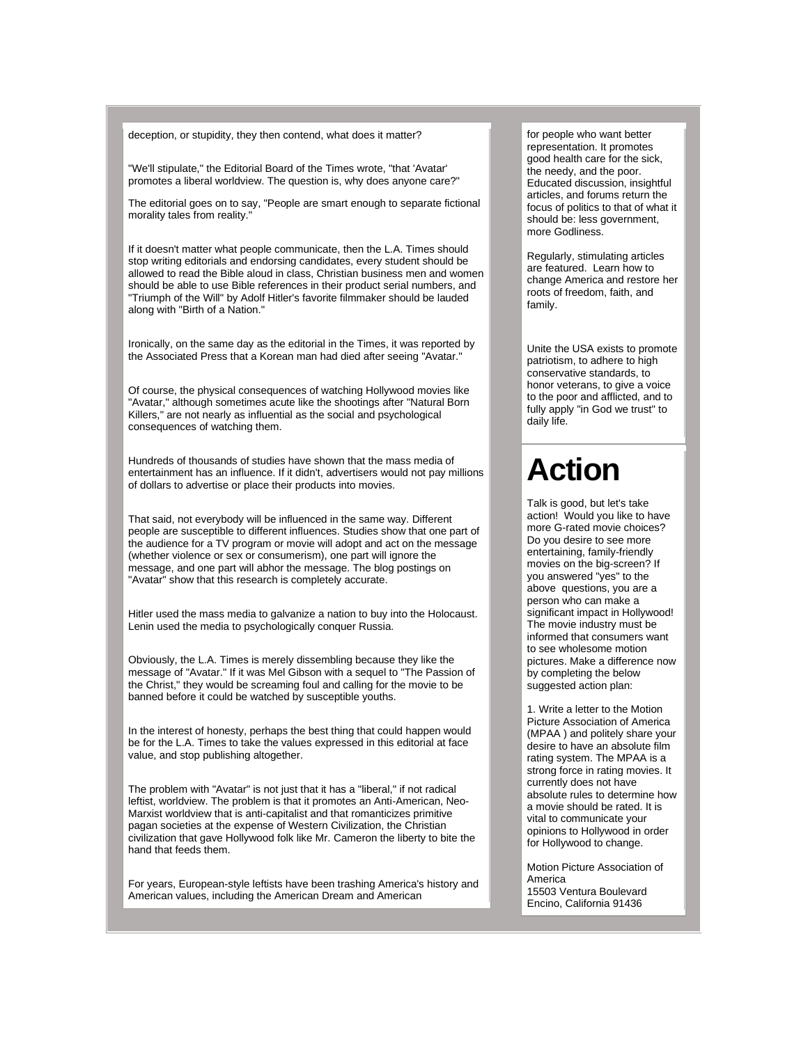deception, or stupidity, they then contend, what does it matter?

"We'll stipulate," the Editorial Board of the Times wrote, "that 'Avatar' promotes a liberal worldview. The question is, why does anyone care?"

The editorial goes on to say, "People are smart enough to separate fictional morality tales from reality."

If it doesn't matter what people communicate, then the L.A. Times should stop writing editorials and endorsing candidates, every student should be allowed to read the Bible aloud in class, Christian business men and women should be able to use Bible references in their product serial numbers, and "Triumph of the Will" by Adolf Hitler's favorite filmmaker should be lauded along with "Birth of a Nation."

Ironically, on the same day as the editorial in the Times, it was reported by the Associated Press that a Korean man had died after seeing "Avatar."

Of course, the physical consequences of watching Hollywood movies like "Avatar," although sometimes acute like the shootings after "Natural Born Killers," are not nearly as influential as the social and psychological consequences of watching them.

Hundreds of thousands of studies have shown that the mass media of entertainment has an influence. If it didn't, advertisers would not pay millions of dollars to advertise or place their products into movies.

That said, not everybody will be influenced in the same way. Different people are susceptible to different influences. Studies show that one part of the audience for a TV program or movie will adopt and act on the message (whether violence or sex or consumerism), one part will ignore the message, and one part will abhor the message. The blog postings on "Avatar" show that this research is completely accurate.

Hitler used the mass media to galvanize a nation to buy into the Holocaust. Lenin used the media to psychologically conquer Russia.

Obviously, the L.A. Times is merely dissembling because they like the message of "Avatar." If it was Mel Gibson with a sequel to "The Passion of the Christ," they would be screaming foul and calling for the movie to be banned before it could be watched by susceptible youths.

In the interest of honesty, perhaps the best thing that could happen would be for the L.A. Times to take the values expressed in this editorial at face value, and stop publishing altogether.

The problem with "Avatar" is not just that it has a "liberal," if not radical leftist, worldview. The problem is that it promotes an Anti-American, Neo-Marxist worldview that is anti-capitalist and that romanticizes primitive pagan societies at the expense of Western Civilization, the Christian civilization that gave Hollywood folk like Mr. Cameron the liberty to bite the hand that feeds them.

For years, European-style leftists have been trashing America's history and American values, including the American Dream and American

for people who want better representation. It promotes good health care for the sick, the needy, and the poor. Educated discussion, insightful articles, and forums return the focus of politics to that of what it should be: less government, more Godliness.

Regularly, stimulating articles are featured. Learn how to change America and restore her roots of freedom, faith, and family.

Unite the USA exists to promote patriotism, to adhere to high conservative standards, to honor veterans, to give a voice to the poor and afflicted, and to fully apply "in God we trust" to daily life.

## **Action**

Talk is good, but let's take action! Would you like to have more G-rated movie choices? Do you desire to see more entertaining, family-friendly movies on the big-screen? If you answered "yes" to the above questions, you are a person who can make a significant impact in Hollywood! The movie industry must be informed that consumers want to see wholesome motion pictures. Make a difference now by completing the below suggested action plan:

1. Write a letter to the Motion Picture Association of America (MPAA ) and politely share your desire to have an absolute film rating system. The MPAA is a strong force in rating movies. It currently does not have absolute rules to determine how a movie should be rated. It is vital to communicate your opinions to Hollywood in order for Hollywood to change.

Motion Picture Association of America 15503 Ventura Boulevard Encino, California 91436